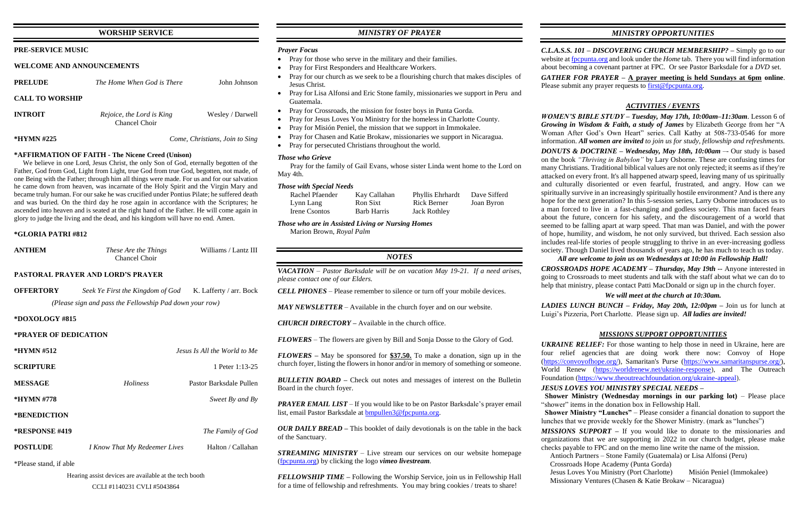## **WORSHIP SERVICE**

| <b>PRE-SERVICE MUSIC</b> |  |
|--------------------------|--|
|--------------------------|--|

### **WELCOME AND ANNOUNCEMENTS**

| <b>PRELUDE</b>         | The Home When God is There                 | John Johnson                   |
|------------------------|--------------------------------------------|--------------------------------|
| <b>CALL TO WORSHIP</b> |                                            |                                |
| <b>INTROIT</b>         | Rejoice, the Lord is King<br>Chancel Choir | Wesley / Darwell               |
| *HYMN #225             |                                            | Come, Christians, Join to Sing |

## **\*AFFIRMATION OF FAITH - The Nicene Creed (Unison)**

 We believe in one Lord, Jesus Christ, the only Son of God, eternally begotten of the Father, God from God, Light from Light, true God from true God, begotten, not made, of one Being with the Father; through him all things were made. For us and for our salvation he came down from heaven, was incarnate of the Holy Spirit and the Virgin Mary and became truly human. For our sake he was crucified under Pontius Pilate; he suffered death and was buried. On the third day he rose again in accordance with the Scriptures; he ascended into heaven and is seated at the right hand of the Father. He will come again in glory to judge the living and the dead, and his kingdom will have no end. Amen.

### **\*GLORIA PATRI #812**

| <b>ANTHEM</b> | These Are the Things | Williams / Lantz III |
|---------------|----------------------|----------------------|
|               | <b>Chancel Choir</b> |                      |

## **PASTORAL PRAYER AND LORD'S PRAYER**

| <b>OFFERTORY</b> | Seek Ye First the Kingdom of God                        | K. Lafferty / arr. Bock |
|------------------|---------------------------------------------------------|-------------------------|
|                  | (Please sign and pass the Fellowship Pad down your row) |                         |

### **\*DOXOLOGY #815**

#### **\*PRAYER OF DEDICATION**

| $*HYMN \#512$         |                               | Jesus Is All the World to Me |
|-----------------------|-------------------------------|------------------------------|
| <b>SCRIPTURE</b>      |                               | 1 Peter 1:13-25              |
| <b>MESSAGE</b>        | <b>Holiness</b>               | Pastor Barksdale Pullen      |
| *HYMN #778            |                               | Sweet By and By              |
| *BENEDICTION          |                               |                              |
| <b>*RESPONSE #419</b> |                               | The Family of God            |
| <b>POSTLUDE</b>       | I Know That My Redeemer Lives | Halton / Callahan            |
| *Dlages stand if able |                               |                              |

\*Please stand, if able

Hearing assist devices are available at the tech booth CCLI #1140231 CVLI #5043864

## *MINISTRY OF PRAYER*

### *Prayer Focus*

- Pray for those who serve in the military and their families.
- Pray for First Responders and Healthcare Workers.
- Pray for our church as we seek to be a flourishing church that makes disciples of Jesus Christ.
- Pray for Lisa Alfonsi and Eric Stone family, missionaries we support in Peru and Guatemala.
- Pray for Crossroads, the mission for foster boys in Punta Gorda.
- Pray for Jesus Loves You Ministry for the homeless in Charlotte County.
- Pray for Misión Peniel, the mission that we support in Immokalee.
- Pray for Chasen and Katie Brokaw, missionaries we support in Nicaragua.
- Pray for persecuted Christians throughout the world.

*PRAYER EMAIL LIST* – If you would like to be on Pastor Barksdale's prayer email list, email Pastor Barksdale at [bmpullen3@fpcpunta.org.](about:blank)

*C.L.A.S.S. 101 – DISCOVERING CHURCH MEMBERSHIP? –* Simply go to our website a[t fpcpunta.org](about:blank) and look under the *Home* tab. There you will find information about becoming a covenant partner at FPC. Or see Pastor Barksdale for a *DVD* set. *GATHER FOR PRAYER –* **A prayer meeting is held Sundays at 6pm online**. Please submit any prayer requests to  $first@fpc$ punta.org.

## *Those who Grieve*

 Pray for the family of Gail Evans, whose sister Linda went home to the Lord on May 4th.

#### *Those with Special Needs*

| Rachel Pfaender | Kay Callahan | Phyllis Ehrhardt    | Dave Sifferd |
|-----------------|--------------|---------------------|--------------|
| Lynn Lang       | Ron Sixt     | <b>Rick Berner</b>  | Joan Byron   |
| Irene Csontos   | Barb Harris  | <b>Jack Rothley</b> |              |

*Those who are in Assisted Living or Nursing Homes* Marion Brown, *Royal Palm*

### *NOTES*

*VACATION – Pastor Barksdale will be on vacation May 19-21. If a need arises, please contact one of our Elders.*

*CELL PHONES –* Please remember to silence or turn off your mobile devices.

*MAY NEWSLETTER –* Available in the church foyer and on our website.

*CHURCH DIRECTORY –* Available in the church office.

*FLOWERS* – The flowers are given by Bill and Sonja Dosse to the Glory of God.

*FLOWERS –* May be sponsored for **\$37.50.** To make a donation, sign up in the church foyer, listing the flowers in honor and/or in memory of something or someone.

*BULLETIN BOARD –* Check out notes and messages of interest on the Bulletin Board in the church foyer.

*JESUS LOVES YOU MINISTRY SPECIAL NEEDS –*  **Shower Ministry (Wednesday mornings in our parking lot)** – Please place "shower" items in the donation box in Fellowship Hall.

*OUR DAILY BREAD –* This booklet of daily devotionals is on the table in the back of the Sanctuary.

*STREAMING MINISTRY –* Live stream our services on our website homepage [\(fpcpunta.org\)](about:blank) by clicking the logo *vimeo livestream.*

*FELLOWSHIP TIME –* Following the Worship Service, join us in Fellowship Hall for a time of fellowship and refreshments. You may bring cookies / treats to share!

*MINISTRY OPPORTUNITIES*

## *ACTIVITIES / EVENTS*

*WOMEN'S BIBLE STUDY – Tuesday, May 17th, 10:00am–11:30am*. Lesson 6 of *Growing in Wisdom & Faith, a study of James* by Elizabeth George from her "A Woman After God's Own Heart" series. Call Kathy at 508-733-0546 for more information. *All women are invited to join us for study, fellowship and refreshments.*

*DONUTS & DOCTRINE – Wednesday, May 18th, 10:00am* –- Our study is based on the book *"Thriving in Babylon"* by Lary Osborne. These are confusing times for many Christians. Traditional biblical values are not only rejected; it seems as if they're attacked on every front. It's all happened atwarp speed, leaving many of us spiritually and culturally disoriented or even fearful, frustrated, and angry. How can we spiritually survive in an increasingly spiritually hostile environment? And is there any hope for the next generation? In this 5-session series, Larry Osborne introduces us to a man forced to live in a fast-changing and godless society. This man faced fears about the future, concern for his safety, and the discouragement of a world that seemed to be falling apart at warp speed. That man was Daniel, and with the power of hope, humility, and wisdom, he not only survived, but thrived. Each session also includes real-life stories of people struggling to thrive in an ever-increasing godless society. Though Daniel lived thousands of years ago, he has much to teach us today. *All are welcome to join us on Wednesdays at 10:00 in Fellowship Hall!*

*CROSSROADS HOPE ACADEMY – Thursday, May 19th --* Anyone interested in going to Crossroads to meet students and talk with the staff about what we can do to help that ministry, please contact Patti MacDonald or sign up in the church foyer.

*We will meet at the church at 10:30am.*

*LADIES LUNCH BUNCH – Friday, May 20th, 12:00pm –* Join us for lunch at Luigi's Pizzeria, Port Charlotte. Please sign up. *All ladies are invited!*

## *MISSIONS SUPPORT OPPORTUNITIES*

*UKRAINE RELIEF:* For those wanting to help those in need in Ukraine, here are four relief agencies that are doing work there now: Convoy of Hope [\(https://convoyofhope.org/\)](https://convoyofhope.org/), Samaritan's Purse [\(https://www.samaritanspurse.org/\)](https://www.samaritanspurse.org/), World Renew [\(https://worldrenew.net/ukraine-response\)](https://worldrenew.net/ukraine-response), and The Outreach

# Foundation [\(https://www.theoutreachfoundation.org/ukraine-appeal\)](https://www.theoutreachfoundation.org/ukraine-appeal).

 **Shower Ministry "Lunches"** – Please consider a financial donation to support the lunches that we provide weekly for the Shower Ministry. (mark as "lunches") *MISSIONS SUPPORT –* If you would like to donate to the missionaries and organizations that we are supporting in 2022 in our church budget, please make checks payable to FPC and on the memo line write the name of the mission.

Antioch Partners – Stone Family (Guatemala) or Lisa Alfonsi (Peru)

Crossroads Hope Academy (Punta Gorda)

 Jesus Loves You Ministry (Port Charlotte) Misión Peniel (Immokalee) Missionary Ventures (Chasen & Katie Brokaw – Nicaragua)